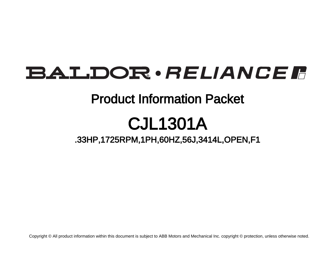# BALDOR · RELIANCE F

## Product Information Packet

# CJL1301A

.33HP,1725RPM,1PH,60HZ,56J,3414L,OPEN,F1

Copyright © All product information within this document is subject to ABB Motors and Mechanical Inc. copyright © protection, unless otherwise noted.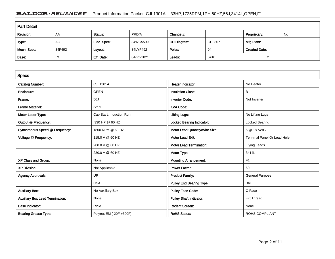### BALDOR · RELIANCE F Product Information Packet: CJL1301A - .33HP,1725RPM,1PH,60HZ,56J,3414L,OPEN,F1

| <b>Part Detail</b> |           |             |            |             |        |                      |    |  |
|--------------------|-----------|-------------|------------|-------------|--------|----------------------|----|--|
| Revision:          | AA        | Status:     | PRD/A      | Change #:   |        | Proprietary:         | No |  |
| Type:              | AC        | Elec. Spec: | 34WG5599   | CD Diagram: | CD0307 | Mfg Plant:           |    |  |
| Mech. Spec:        | 34F492    | Layout:     | 34LYF492   | Poles:      | 04     | <b>Created Date:</b> |    |  |
| Base:              | <b>RG</b> | Eff. Date:  | 04-22-2021 | Leads:      | 6#18   | $\cdot$              |    |  |

| <b>Specs</b>                           |                          |                                  |                                    |
|----------------------------------------|--------------------------|----------------------------------|------------------------------------|
| <b>Catalog Number:</b>                 | <b>CJL1301A</b>          | <b>Heater Indicator:</b>         | No Heater                          |
| Enclosure:                             | <b>OPEN</b>              | <b>Insulation Class:</b>         | B                                  |
| Frame:                                 | 56J                      | <b>Inverter Code:</b>            | Not Inverter                       |
| <b>Frame Material:</b>                 | Steel                    | <b>KVA Code:</b>                 | L.                                 |
| Motor Letter Type:                     | Cap Start, Induction Run | <b>Lifting Lugs:</b>             | No Lifting Lugs                    |
| Output @ Frequency:                    | .330 HP @ 60 HZ          | <b>Locked Bearing Indicator:</b> | Locked Bearing                     |
| Synchronous Speed @ Frequency:         | 1800 RPM @ 60 HZ         | Motor Lead Quantity/Wire Size:   | 6 @ 18 AWG                         |
| Voltage @ Frequency:                   | 115.0 V @ 60 HZ          | <b>Motor Lead Exit:</b>          | <b>Terminal Panel Or Lead Hole</b> |
|                                        | 208.0 V @ 60 HZ          | <b>Motor Lead Termination:</b>   | <b>Flying Leads</b>                |
|                                        | 230.0 V @ 60 HZ          | Motor Type:                      | 3414L                              |
| XP Class and Group:                    | None                     | <b>Mounting Arrangement:</b>     | F <sub>1</sub>                     |
| <b>XP Division:</b>                    | Not Applicable           | <b>Power Factor:</b>             | 60                                 |
| <b>Agency Approvals:</b>               | <b>UR</b>                | <b>Product Family:</b>           | <b>General Purpose</b>             |
|                                        | <b>CSA</b>               | <b>Pulley End Bearing Type:</b>  | Ball                               |
| <b>Auxillary Box:</b>                  | No Auxillary Box         | <b>Pulley Face Code:</b>         | C-Face                             |
| <b>Auxillary Box Lead Termination:</b> | None                     | <b>Pulley Shaft Indicator:</b>   | <b>Ext Thread</b>                  |
| <b>Base Indicator:</b>                 | Rigid                    | <b>Rodent Screen:</b>            | None                               |
| <b>Bearing Grease Type:</b>            | Polyrex EM (-20F +300F)  | <b>RoHS Status:</b>              | <b>ROHS COMPLIANT</b>              |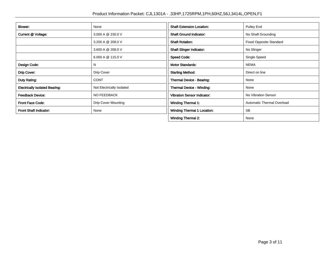| Blower:                               | None                       | <b>Shaft Extension Location:</b>   | Pulley End                     |
|---------------------------------------|----------------------------|------------------------------------|--------------------------------|
| Current @ Voltage:                    | 3.000 A @ 230.0 V          | <b>Shaft Ground Indicator:</b>     | No Shaft Grounding             |
|                                       | 3.200 A @ 208.0 V          | <b>Shaft Rotation:</b>             | <b>Fixed Opposite Standard</b> |
|                                       | 3.600 A @ 208.0 V          | <b>Shaft Slinger Indicator:</b>    | No Slinger                     |
|                                       | 6.000 A @ 115.0 V          | <b>Speed Code:</b>                 | Single Speed                   |
| Design Code:                          | N                          | <b>Motor Standards:</b>            | <b>NEMA</b>                    |
| Drip Cover:                           | Drip Cover                 | <b>Starting Method:</b>            | Direct on line                 |
| Duty Rating:                          | <b>CONT</b>                | Thermal Device - Bearing:          | None                           |
| <b>Electrically Isolated Bearing:</b> | Not Electrically Isolated  | Thermal Device - Winding:          | None                           |
| <b>Feedback Device:</b>               | NO FEEDBACK                | <b>Vibration Sensor Indicator:</b> | No Vibration Sensor            |
| <b>Front Face Code:</b>               | <b>Drip Cover Mounting</b> | Winding Thermal 1:                 | Automatic Thermal Overload     |
| Front Shaft Indicator:                | None                       | <b>Winding Thermal 1 Location:</b> | <b>SB</b>                      |
|                                       |                            | <b>Winding Thermal 2:</b>          | None                           |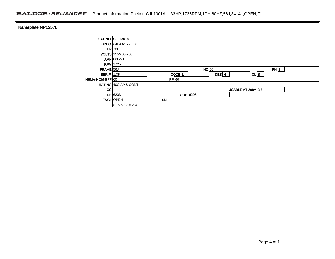### BALDOR · RELIANCE F Product Information Packet: CJL1301A - .33HP,1725RPM,1PH,60HZ,56J,3414L,OPEN,F1

| Nameplate NP1257L    |                     |    |                     |         |                           |      |  |
|----------------------|---------------------|----|---------------------|---------|---------------------------|------|--|
|                      | $CAT.NO.$ CJL1301A  |    |                     |         |                           |      |  |
|                      | SPEC. 34F492-5599G1 |    |                     |         |                           |      |  |
|                      | $HP$ .33            |    |                     |         |                           |      |  |
|                      | VOLTS 115/208-230   |    |                     |         |                           |      |  |
|                      | $AMP 6/3.2-3$       |    |                     |         |                           |      |  |
|                      | $RPM$ 1725          |    |                     |         |                           |      |  |
| FRAME 56J            |                     |    |                     | $HZ$ 60 |                           | PH 1 |  |
| <b>SER.F.</b> $1.35$ |                     |    | $CODE$ <sub>L</sub> | DES N   | $CL$ $B$                  |      |  |
| NEMA-NOM-EFF 60      |                     |    | PF 60               |         |                           |      |  |
|                      | RATING 40C AMB-CONT |    |                     |         |                           |      |  |
| cc                   |                     |    |                     |         | <b>USABLE AT 208V 3.6</b> |      |  |
|                      | $DE$ 6203           |    | <b>ODE</b> 6203     |         |                           |      |  |
| <b>ENCL</b> OPEN     |                     | SN |                     |         |                           |      |  |
|                      | SFA 6.8/3.6-3.4     |    |                     |         |                           |      |  |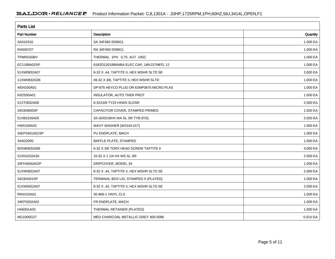| <b>Parts List</b>  |                                          |          |  |  |  |  |
|--------------------|------------------------------------------|----------|--|--|--|--|
| <b>Part Number</b> | Description                              | Quantity |  |  |  |  |
| SA010316           | SA 34F492-5599G1                         | 1.000 EA |  |  |  |  |
| RA006707           | RA 34F492-5599G1                         | 1.000 EA |  |  |  |  |
| TPMRG55BV          | THERMAL 1PH 0.75 AUT 105C                | 1.000 EA |  |  |  |  |
| EC1189A02SP        | 61B2D120189NNBA ELEC CAP, 189-227MFD, 12 | 1.000 EA |  |  |  |  |
| 51XW0832A07        | 8-32 X .44, TAPTITE II, HEX WSHR SLTD SE | 3.000 EA |  |  |  |  |
| 11XW0832G06        | #8-32 X 3/8, TAPTITE II, HEX WSHR SLTD   | 1.000 EA |  |  |  |  |
| WD4100A01          | DP-875 HEYCO PLUG OR 62MP0875 MICRO PLAS | 1.000 EA |  |  |  |  |
| NS2500A01          | INSULATOR, AUTO THER PROT                | 1.000 EA |  |  |  |  |
| 51XT0632A06        | 6-32X3/8 TY23 HXWS SLDSR                 | 2.000 EA |  |  |  |  |
| 34CB4800SP         | CAPACITOR COVER, STAMPED PRIMED          | 1.000 EA |  |  |  |  |
| 51XB1016A05        | 10-16X5/16HX WA SL SR TYB (F/S)          | 2.000 EA |  |  |  |  |
| HW5100A03          | WAVY WASHER (W1543-017)                  | 1.000 EA |  |  |  |  |
| 34EP3401A01SP      | PU ENDPLATE, MACH                        | 1.000 EA |  |  |  |  |
| 34AD2000           | BAFFLE PLATE, STAMPED                    | 1.000 EA |  |  |  |  |
| 60XW0632A06        | 6-32 X 3/8 TORX HEAD SCREW TAPTITE II    | 4.000 EA |  |  |  |  |
| 51XN1032A20        | 10-32 X 1 1/4 HX WS SL SR                | 2.000 EA |  |  |  |  |
| 34FH4500A02P       | DRIPCOVER, MODEL 34                      | 1.000 EA |  |  |  |  |
| 51XW0832A07        | 8-32 X .44, TAPTITE II, HEX WSHR SLTD SE | 2.000 EA |  |  |  |  |
| 34CB4501SP         | TERMINAL BOX LID, STAMPED X (PLATED)     | 1.000 EA |  |  |  |  |
| 51XW0832A07        | 8-32 X .44, TAPTITE II, HEX WSHR SLTD SE | 2.000 EA |  |  |  |  |
| RM1010A01          | 35-968-1 VINYL CLS                       | 1.000 EA |  |  |  |  |
| 34EP3202A02        | FR ENDPLATE, MACH                        | 1.000 EA |  |  |  |  |
| HA6001A03          | THERMAL RETAINER (PLATED)                | 1.000 EA |  |  |  |  |
| MG1000G27          | MED CHARCOAL METALLIC GREY 400-0096      | 0.014 GA |  |  |  |  |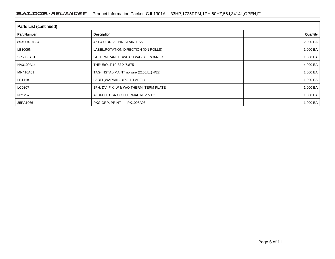| Parts List (continued) |                                          |          |  |  |  |  |
|------------------------|------------------------------------------|----------|--|--|--|--|
| <b>Part Number</b>     | Description                              | Quantity |  |  |  |  |
| 85XU0407S04            | 4X1/4 U DRIVE PIN STAINLESS              | 2.000 EA |  |  |  |  |
| LB1009N                | LABEL, ROTATION DIRECTION (ON ROLLS)     | 1.000 EA |  |  |  |  |
| SP5086A01              | 34 TERM PANEL SWITCH W/E-BLK & 8-RED     | 1.000 EA |  |  |  |  |
| HA3100A14              | THRUBOLT 10-32 X 7.875                   | 4.000 EA |  |  |  |  |
| MN416A01               | TAG-INSTAL-MAINT no wire (2100/bx) 4/22  | 1.000 EA |  |  |  |  |
| LB1118                 | LABEL, WARNING (ROLL LABEL)              | 1.000 EA |  |  |  |  |
| LC0307                 | 1PH, DV, FIX, W & W/O THERM, TERM PLATE, | 1.000 EA |  |  |  |  |
| <b>NP1257L</b>         | ALUM UL CSA CC THERMAL REV MTG           | 1.000 EA |  |  |  |  |
| 35PA1066               | PKG GRP, PRINT<br>PK1008A06              | 1.000 EA |  |  |  |  |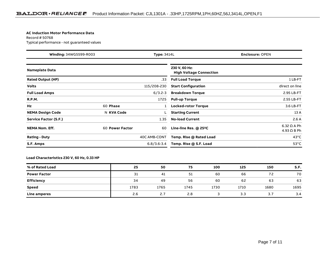#### **AC Induction Motor Performance Data**

Record # 50768Typical performance - not guaranteed values

| Winding: 34WG5599-R003<br><b>Type: 3414L</b> |                 | <b>Enclosure: OPEN</b> |                                                 |                                          |
|----------------------------------------------|-----------------|------------------------|-------------------------------------------------|------------------------------------------|
| <b>Nameplate Data</b>                        |                 |                        | 230 V, 60 Hz:<br><b>High Voltage Connection</b> |                                          |
| <b>Rated Output (HP)</b>                     |                 | .33                    | <b>Full Load Torque</b>                         | 1LB-FT                                   |
| <b>Volts</b>                                 |                 | 115/208-230            | <b>Start Configuration</b>                      | direct on line                           |
| <b>Full Load Amps</b>                        |                 | $6/3.2 - 3$            | <b>Breakdown Torque</b>                         | 2.95 LB-FT                               |
| <b>R.P.M.</b>                                |                 | 1725                   | <b>Pull-up Torque</b>                           | 2.55 LB-FT                               |
| Hz                                           | 60 Phase        |                        | Locked-rotor Torque                             | 3.6 LB-FT                                |
| <b>NEMA Design Code</b>                      | N KVA Code      |                        | <b>Starting Current</b>                         | 13 A                                     |
| Service Factor (S.F.)                        |                 | 1.35                   | <b>No-load Current</b>                          | 2.6A                                     |
| <b>NEMA Nom. Eff.</b>                        | 60 Power Factor | 60                     | Line-line Res. @ 25°C                           | $6.32 \Omega$ A Ph<br>$4.93 \Omega B Ph$ |
| <b>Rating - Duty</b>                         |                 | 40C AMB-CONT           | Temp. Rise @ Rated Load                         | $43^{\circ}$ C                           |
| S.F. Amps                                    |                 | $6.8/3.6 - 3.4$        | Temp. Rise @ S.F. Load                          | $53^{\circ}$ C                           |

#### **Load Characteristics 230 V, 60 Hz, 0.33 HP**

| % of Rated Load     | 25   | 50   | 75   | 100  | 125  | 150  | S.F. |
|---------------------|------|------|------|------|------|------|------|
| <b>Power Factor</b> | 31   | 41   | 51   | 60   | 66   | 72   | 70   |
| Efficiency          | 34   | 49   | 56   | 60   | 62   | 63   | 63   |
| Speed               | 1783 | 1765 | 1745 | 1730 | 1710 | 1680 | 1695 |
| Line amperes        | 2.6  | 2.7  | 2.8  |      | 3.3  | 3.7  | 3.4  |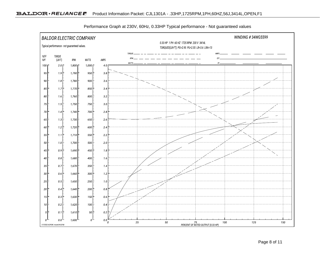

Performance Graph at 230V, 60Hz, 0.33HP Typical performance - Not guaranteed values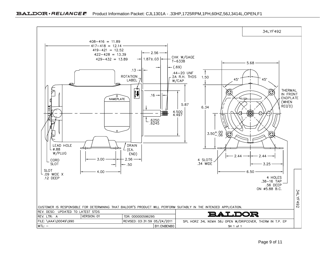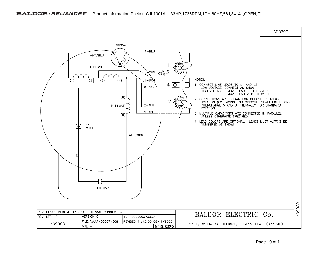